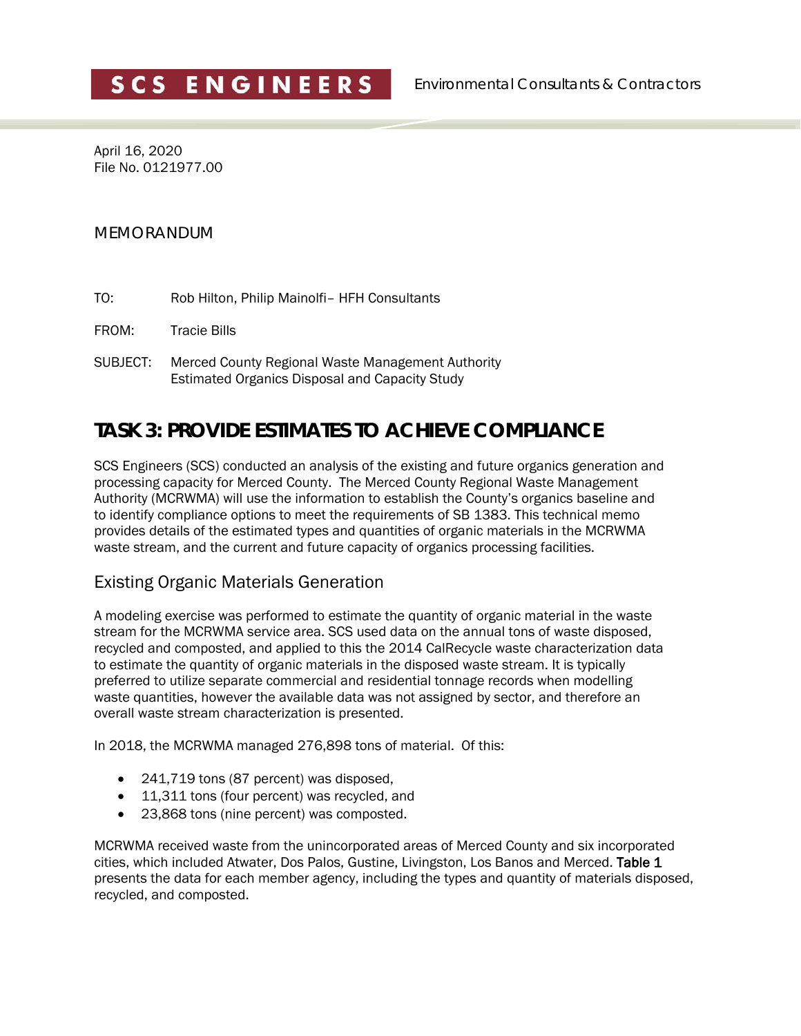April 16, 2020 File No. 0121977.00

#### MEMORANDUM

- TO: Rob Hilton, Philip Mainolfi– HFH Consultants
- FROM: Tracie Bills
- SUBJECT: Merced County Regional Waste Management Authority Estimated Organics Disposal and Capacity Study

# **TASK 3: PROVIDE ESTIMATES TO ACHIEVE COMPLIANCE**

SCS Engineers (SCS) conducted an analysis of the existing and future organics generation and processing capacity for Merced County. The Merced County Regional Waste Management Authority (MCRWMA) will use the information to establish the County's organics baseline and to identify compliance options to meet the requirements of SB 1383. This technical memo provides details of the estimated types and quantities of organic materials in the MCRWMA waste stream, and the current and future capacity of organics processing facilities.

## Existing Organic Materials Generation

A modeling exercise was performed to estimate the quantity of organic material in the waste stream for the MCRWMA service area. SCS used data on the annual tons of waste disposed, recycled and composted, and applied to this the 2014 CalRecycle waste characterization data to estimate the quantity of organic materials in the disposed waste stream. It is typically preferred to utilize separate commercial and residential tonnage records when modelling waste quantities, however the available data was not assigned by sector, and therefore an overall waste stream characterization is presented.

In 2018, the MCRWMA managed 276,898 tons of material. Of this:

- 241,719 tons (87 percent) was disposed,
- 11,311 tons (four percent) was recycled, and
- 23,868 tons (nine percent) was composted.

MCRWMA received waste from the unincorporated areas of Merced County and six incorporated cities, which included Atwater, Dos Palos, Gustine, Livingston, Los Banos and Merced. Table 1 presents the data for each member agency, including the types and quantity of materials disposed, recycled, and composted.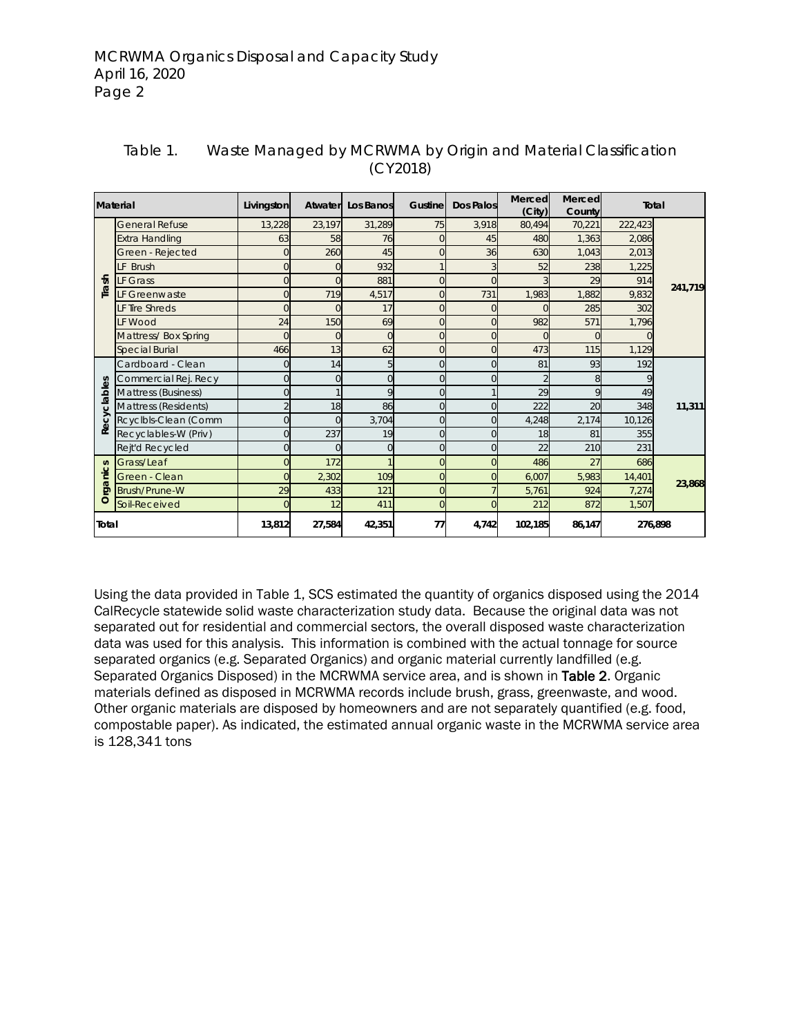| <b>Material</b> |                       | Livingston     | Atwater | Los Banos | Gustine        | Dos Palos | Merced<br>(City) | Merced<br>County | <b>Total</b> |         |  |
|-----------------|-----------------------|----------------|---------|-----------|----------------|-----------|------------------|------------------|--------------|---------|--|
|                 | <b>General Refuse</b> | 13,228         | 23,197  | 31,289    | 75             | 3,918     | 80,494           | 70,221           | 222,423      |         |  |
|                 | <b>Extra Handling</b> | 63             | 58      | 76        | $\overline{0}$ | 45        | 480              | 1,363            | 2,086        |         |  |
|                 | Green - Rejected      | $\Omega$       | 260     | 45        | $\overline{0}$ | 36        | 630              | 1,043            | 2,013        |         |  |
|                 | LF Brush              | $\overline{0}$ |         | 932       |                |           | 52               | 238              | 1,225        |         |  |
| Trash           | LF Grass              | $\Omega$       |         | 881       | $\Omega$       | $\Omega$  |                  | 29               | 914          | 241,719 |  |
|                 | LF Greenwaste         | $\Omega$       | 719     | 4,517     | $\overline{0}$ | 731       | 1,983            | 1,882            | 9,832        |         |  |
|                 | LF Tire Shreds        | $\Omega$       |         | 17        | $\overline{0}$ | $\Omega$  |                  | 285              | 302          |         |  |
|                 | <b>IF Wood</b>        | 24             | 150     | 69        | $\overline{0}$ | $\Omega$  | 982              | 571              | 1,796        |         |  |
|                 | Mattress/Box Spring   | $\Omega$       |         | $\Omega$  | $\Omega$       | $\Omega$  |                  |                  |              |         |  |
|                 | <b>Special Burial</b> | 466            | 13      | 62        | $\overline{0}$ | $\Omega$  | 473              | 115              | 1,129        |         |  |
|                 | Cardboard - Clean     | $\Omega$       | 14      | 5         | $\Omega$       | $\Omega$  | 81               | 93               | 192          |         |  |
| δĝ              | Commercial Rej. Recy  | $\Omega$       |         | $\Omega$  | $\Omega$       | $\Omega$  |                  |                  |              |         |  |
| clable          | Mattress (Business)   | 0              |         | 9         | $\Omega$       |           | 29               |                  | 49           |         |  |
|                 | Mattress (Residents)  |                | 18      | 86        | $\Omega$       |           | 222              | 20               | 348          | 11,311  |  |
| Recy            | Rcyclbls-Clean (Comm  | 0              |         | 3,704     | $\overline{0}$ |           | 4,248            | 2,174            | 10,126       |         |  |
|                 | Recyclables-W (Priv)  | 0              | 237     | 19        | $\Omega$       | U         | 18               | 81               | 355          |         |  |
|                 | Rejt'd Recycled       | 0              |         | 0         | $\overline{0}$ |           | 22               | 210              | 231          |         |  |
|                 | Grass/Leaf            | N              | 172     |           | $\Omega$       |           | 486              | 27               | 686          |         |  |
| anics           | Green - Clean         | O              | 2,302   | 109       | 0              |           | 6,007            | 5,983            | 14,401       |         |  |
| Ö               | Brush/Prune-W         | 29             | 433     | 121       | $\Omega$       |           | 5,761            | 924              | 7,274        | 23,868  |  |
| O               | Soil-Received         | 0              | 12      | 411       | 0              |           | 212              | 872              | 1,507        |         |  |
| Total           |                       | 13,812         | 27,584  | 42,351    | 77             | 4,742     | 102,185          | 86,147           |              | 276,898 |  |

#### Table 1. Waste Managed by MCRWMA by Origin and Material Classification (CY2018)

Using the data provided in Table 1, SCS estimated the quantity of organics disposed using the 2014 CalRecycle statewide solid waste characterization study data. Because the original data was not separated out for residential and commercial sectors, the overall disposed waste characterization data was used for this analysis. This information is combined with the actual tonnage for source separated organics (e.g. Separated Organics) and organic material currently landfilled (e.g. Separated Organics Disposed) in the MCRWMA service area, and is shown in Table 2. Organic materials defined as disposed in MCRWMA records include brush, grass, greenwaste, and wood. Other organic materials are disposed by homeowners and are not separately quantified (e.g. food, compostable paper). As indicated, the estimated annual organic waste in the MCRWMA service area is 128,341 tons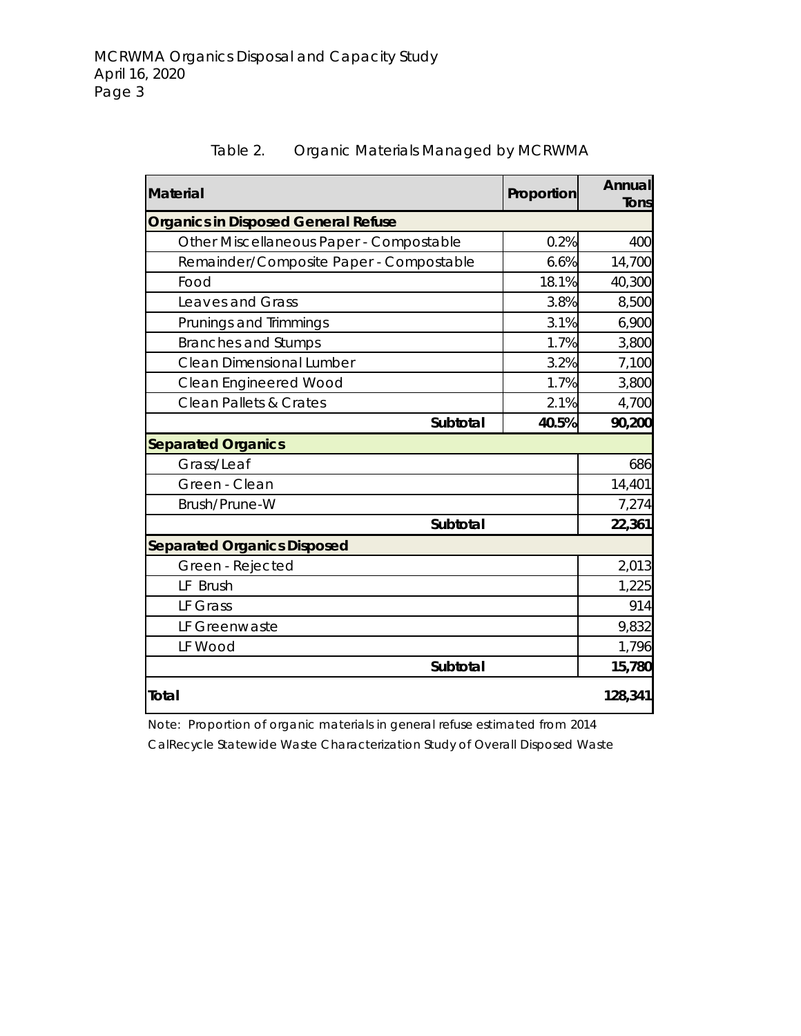| <b>Material</b>                            | Proportion | Annual<br>Tons |
|--------------------------------------------|------------|----------------|
| <b>Organics in Disposed General Refuse</b> |            |                |
| Other Miscellaneous Paper - Compostable    | 0.2%       | 400            |
| Remainder/Composite Paper - Compostable    | 6.6%       | 14,700         |
| Food                                       | 18.1%      | 40,300         |
| Leaves and Grass                           | 3.8%       | 8,500          |
| Prunings and Trimmings                     | 3.1%       | 6,900          |
| <b>Branches and Stumps</b>                 | 1.7%       | 3,800          |
| Clean Dimensional Lumber                   | 3.2%       | 7,100          |
| <b>Clean Engineered Wood</b>               | 1.7%       | 3,800          |
| <b>Clean Pallets &amp; Crates</b>          | 2.1%       | 4,700          |
| Subtotal                                   | 40.5%      | 90,200         |
| <b>Separated Organics</b>                  |            |                |
| Grass/Leaf                                 |            | 686            |
| Green - Clean                              |            | 14,401         |
| Brush/Prune-W                              |            | 7,274          |
| Subtotal                                   |            | 22,361         |
| <b>Separated Organics Disposed</b>         |            |                |
| Green - Rejected                           |            | 2,013          |
| LF Brush                                   |            | 1,225          |
| LF Grass                                   |            | 914            |
| LF Greenwaste                              |            | 9,832          |
| LF Wood                                    |            | 1,796          |
| Subtotal                                   |            | 15,780         |
| Total                                      |            | 128,341        |

Table 2. Organic Materials Managed by MCRWMA

Note: Proportion of organic materials in general refuse estimated from 2014 CalRecycle Statewide Waste Characterization Study of Overall Disposed Waste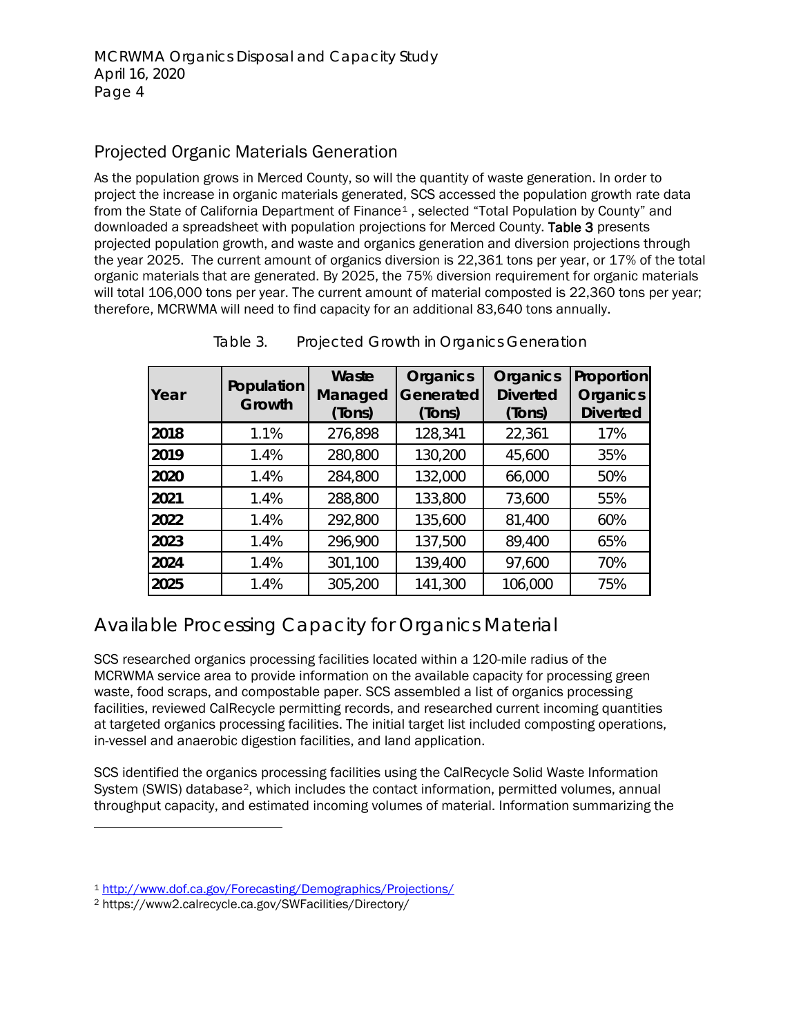## Projected Organic Materials Generation

As the population grows in Merced County, so will the quantity of waste generation. In order to project the increase in organic materials generated, SCS accessed the population growth rate data from the State of California Department of Finance<sup>[1](#page-3-0)</sup>, selected "Total Population by County" and downloaded a spreadsheet with population projections for Merced County. Table 3 presents projected population growth, and waste and organics generation and diversion projections through the year 2025. The current amount of organics diversion is 22,361 tons per year, or 17% of the total organic materials that are generated. By 2025, the 75% diversion requirement for organic materials will total 106,000 tons per year. The current amount of material composted is 22,360 tons per year; therefore, MCRWMA will need to find capacity for an additional 83,640 tons annually.

| Year | Population<br>Growth | Waste<br>Managed<br>(Tons) | <b>Organics</b><br>Generated<br>(Tons) | Organics<br><b>Diverted</b><br>(Tons) | Proportion<br>Organics<br><b>Diverted</b> |
|------|----------------------|----------------------------|----------------------------------------|---------------------------------------|-------------------------------------------|
| 2018 | 1.1%                 | 276,898                    | 128,341                                | 22,361                                | 17%                                       |
| 2019 | 1.4%                 | 280,800                    | 130,200                                | 45,600                                | 35%                                       |
| 2020 | 1.4%                 | 284,800                    | 132,000                                | 66,000                                | 50%                                       |
| 2021 | 1.4%                 | 288,800                    | 133,800                                | 73,600                                | 55%                                       |
| 2022 | 1.4%                 | 292,800                    | 135,600                                | 81,400                                | 60%                                       |
| 2023 | 1.4%                 | 296,900                    | 137,500                                | 89,400                                | 65%                                       |
| 2024 | 1.4%                 | 301,100                    | 139,400                                | 97,600                                | 70%                                       |
| 2025 | 1.4%                 | 305,200                    | 141,300                                | 106,000                               | 75%                                       |

Table 3. Projected Growth in Organics Generation

# Available Processing Capacity for Organics Material

SCS researched organics processing facilities located within a 120-mile radius of the MCRWMA service area to provide information on the available capacity for processing green waste, food scraps, and compostable paper. SCS assembled a list of organics processing facilities, reviewed CalRecycle permitting records, and researched current incoming quantities at targeted organics processing facilities. The initial target list included composting operations, in-vessel and anaerobic digestion facilities, and land application.

SCS identified the organics processing facilities using the CalRecycle Solid Waste Information System (SWIS) database<sup>[2](#page-3-1)</sup>, which includes the contact information, permitted volumes, annual throughput capacity, and estimated incoming volumes of material. Information summarizing the

<span id="page-3-0"></span><sup>1</sup> <http://www.dof.ca.gov/Forecasting/Demographics/Projections/>

<span id="page-3-1"></span><sup>2</sup> https://www2.calrecycle.ca.gov/SWFacilities/Directory/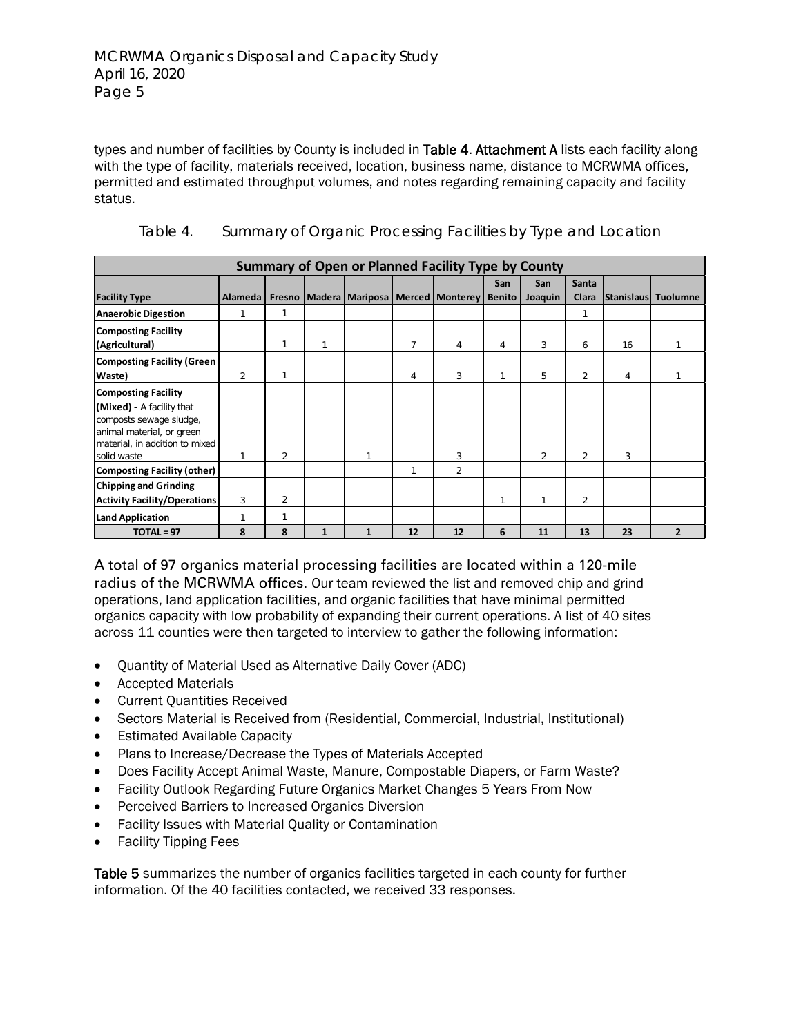types and number of facilities by County is included in Table 4. Attachment A lists each facility along with the type of facility, materials received, location, business name, distance to MCRWMA offices, permitted and estimated throughput volumes, and notes regarding remaining capacity and facility status.

| <b>Summary of Open or Planned Facility Type by County</b> |                |                |   |   |    |                                                |               |                |                |    |                     |
|-----------------------------------------------------------|----------------|----------------|---|---|----|------------------------------------------------|---------------|----------------|----------------|----|---------------------|
|                                                           |                |                |   |   |    |                                                | San           | San            | <b>Santa</b>   |    |                     |
| <b>Facility Type</b>                                      | Alameda        |                |   |   |    | Fresno   Madera   Mariposa   Merced   Monterey | <b>Benito</b> | Joaquin        | Clara          |    | Stanislaus Tuolumne |
| <b>Anaerobic Digestion</b>                                | 1              | 1              |   |   |    |                                                |               |                | 1              |    |                     |
| <b>Composting Facility</b>                                |                |                |   |   |    |                                                |               |                |                |    |                     |
| (Agricultural)                                            |                | 1              | 1 |   | 7  | 4                                              | 4             | 3              | 6              | 16 |                     |
| <b>Composting Facility (Green</b>                         |                |                |   |   |    |                                                |               |                |                |    |                     |
| Waste)                                                    | $\overline{2}$ | 1              |   |   | 4  | 3                                              | 1             | 5              | $\overline{2}$ | 4  |                     |
| <b>Composting Facility</b>                                |                |                |   |   |    |                                                |               |                |                |    |                     |
| (Mixed) - A facility that                                 |                |                |   |   |    |                                                |               |                |                |    |                     |
| composts sewage sludge,                                   |                |                |   |   |    |                                                |               |                |                |    |                     |
| animal material, or green                                 |                |                |   |   |    |                                                |               |                |                |    |                     |
| material, in addition to mixed<br>solid waste             |                | $\overline{2}$ |   |   |    | 3                                              |               | $\overline{2}$ | $\overline{2}$ | 3  |                     |
| Composting Facility (other)                               |                |                |   |   | 1  | $\overline{2}$                                 |               |                |                |    |                     |
| <b>Chipping and Grinding</b>                              |                |                |   |   |    |                                                |               |                |                |    |                     |
| Activity Facility/Operations                              | 3              | $\overline{2}$ |   |   |    |                                                |               |                | $\overline{2}$ |    |                     |
|                                                           | $\mathbf{1}$   | 1              |   |   |    |                                                |               |                |                |    |                     |
| <b>Land Application</b>                                   |                |                |   |   |    |                                                |               |                |                |    |                     |
| $TOTAL = 97$                                              | 8              | 8              | 1 | 1 | 12 | 12                                             | 6             | 11             | 13             | 23 | $\overline{2}$      |

Table 4. Summary of Organic Processing Facilities by Type and Location

A total of 97 organics material processing facilities are located within a 120-mile radius of the MCRWMA offices. Our team reviewed the list and removed chip and grind operations, land application facilities, and organic facilities that have minimal permitted organics capacity with low probability of expanding their current operations. A list of 40 sites across 11 counties were then targeted to interview to gather the following information:

- Quantity of Material Used as Alternative Daily Cover (ADC)
- Accepted Materials
- Current Quantities Received
- Sectors Material is Received from (Residential, Commercial, Industrial, Institutional)
- Estimated Available Capacity
- Plans to Increase/Decrease the Types of Materials Accepted
- Does Facility Accept Animal Waste, Manure, Compostable Diapers, or Farm Waste?
- Facility Outlook Regarding Future Organics Market Changes 5 Years From Now
- Perceived Barriers to Increased Organics Diversion
- Facility Issues with Material Quality or Contamination
- Facility Tipping Fees

Table 5 summarizes the number of organics facilities targeted in each county for further information. Of the 40 facilities contacted, we received 33 responses.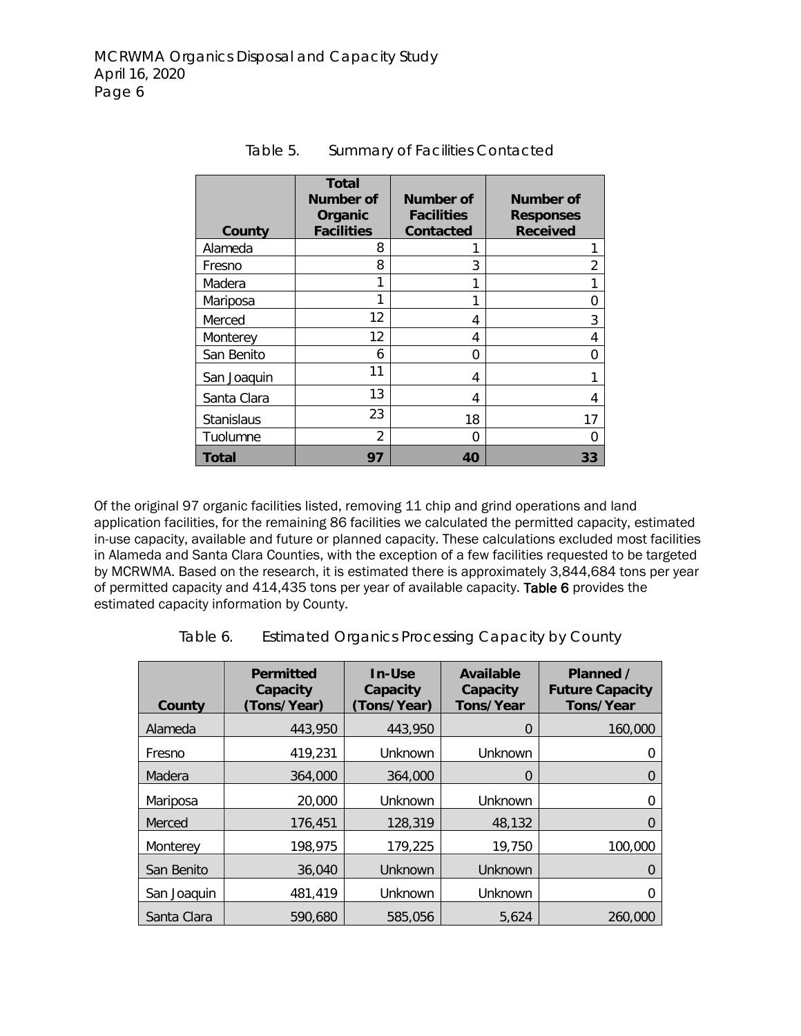| County            | Total<br>Number of<br>Organic<br><b>Facilities</b> | Number of<br><b>Facilities</b><br><b>Contacted</b> | <b>Number of</b><br><b>Responses</b><br><b>Received</b> |
|-------------------|----------------------------------------------------|----------------------------------------------------|---------------------------------------------------------|
| Alameda           | 8                                                  |                                                    | 1                                                       |
| Fresno            | 8                                                  | 3                                                  | 2                                                       |
| Madera            | 1                                                  | 1                                                  | 1                                                       |
| Mariposa          |                                                    | 1                                                  | 0                                                       |
| Merced            | 12                                                 | 4                                                  | 3                                                       |
| Monterey          | 12                                                 | 4                                                  | 4                                                       |
| San Benito        | 6                                                  | 0                                                  | 0                                                       |
| San Joaquin       | 11                                                 | 4                                                  |                                                         |
| Santa Clara       | 13                                                 | 4                                                  | 4                                                       |
| <b>Stanislaus</b> | 23                                                 | 18                                                 | 17                                                      |
| Tuolumne          | $\mathfrak{p}$                                     | 0                                                  | O                                                       |
| Total             | 97                                                 | 40                                                 | 33                                                      |

Table 5. Summary of Facilities Contacted

Of the original 97 organic facilities listed, removing 11 chip and grind operations and land application facilities, for the remaining 86 facilities we calculated the permitted capacity, estimated in-use capacity, available and future or planned capacity. These calculations excluded most facilities in Alameda and Santa Clara Counties, with the exception of a few facilities requested to be targeted by MCRWMA. Based on the research, it is estimated there is approximately 3,844,684 tons per year of permitted capacity and 414,435 tons per year of available capacity. Table 6 provides the estimated capacity information by County.

| County      | <b>Permitted</b><br>Capacity<br>(Tons/Year) | In-Use<br>Capacity<br>(Tons/Year) | <b>Available</b><br>Capacity<br>Tons/Year | Planned /<br><b>Future Capacity</b><br>Tons/Year |
|-------------|---------------------------------------------|-----------------------------------|-------------------------------------------|--------------------------------------------------|
| Alameda     | 443,950                                     | 443.950                           | 0                                         | 160,000                                          |
| Fresno      | 419,231                                     | Unknown                           | Unknown                                   | 0                                                |
| Madera      | 364,000                                     | 364,000                           | $\Omega$                                  | O                                                |
| Mariposa    | 20,000                                      | Unknown                           | Unknown                                   | ი                                                |
| Merced      | 176,451                                     | 128,319                           | 48,132                                    | 0                                                |
| Monterev    | 198,975                                     | 179,225                           | 19,750                                    | 100,000                                          |
| San Benito  | 36,040                                      | Unknown                           | Unknown                                   | 0                                                |
| San Joaquin | 481,419                                     | Unknown                           | Unknown                                   | O                                                |
| Santa Clara | 590.680                                     | 585.056                           | 5.624                                     | 260,000                                          |

| Table 6. |  | <b>Estimated Organics Processing Capacity by County</b> |  |  |  |
|----------|--|---------------------------------------------------------|--|--|--|
|          |  |                                                         |  |  |  |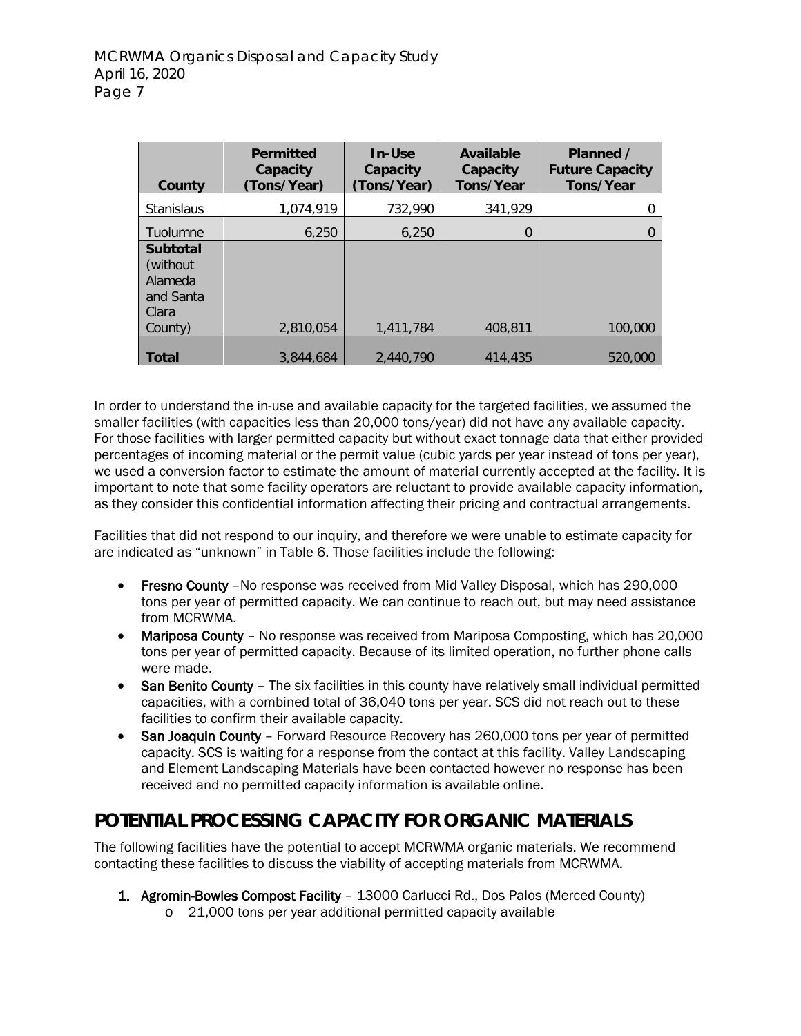| County                                                                   | <b>Permitted</b><br>Capacity<br>(Tons/Year) | In-Use<br>Capacity<br>(Tons/Year) | <b>Available</b><br>Capacity<br>Tons/Year | Planned /<br><b>Future Capacity</b><br>Tons/Year |
|--------------------------------------------------------------------------|---------------------------------------------|-----------------------------------|-------------------------------------------|--------------------------------------------------|
| <b>Stanislaus</b>                                                        | 1,074,919                                   | 732,990                           | 341.929                                   |                                                  |
| Tuolumne                                                                 | 6.250                                       | 6.250                             | 0                                         |                                                  |
| <b>Subtotal</b><br>(without)<br>Alameda<br>and Santa<br>Clara<br>County) | 2,810,054                                   | 1,411,784                         | 408,811                                   | 100,000                                          |
| <b>Total</b>                                                             | 3.844.684                                   | 2,440,790                         | 414,435                                   | 520,000                                          |

In order to understand the in-use and available capacity for the targeted facilities, we assumed the smaller facilities (with capacities less than 20,000 tons/year) did not have any available capacity. For those facilities with larger permitted capacity but without exact tonnage data that either provided percentages of incoming material or the permit value (cubic yards per year instead of tons per year), we used a conversion factor to estimate the amount of material currently accepted at the facility. It is important to note that some facility operators are reluctant to provide available capacity information, as they consider this confidential information affecting their pricing and contractual arrangements.

Facilities that did not respond to our inquiry, and therefore we were unable to estimate capacity for are indicated as "unknown" in Table 6. Those facilities include the following:

- Fresno County No response was received from Mid Valley Disposal, which has 290,000 tons per year of permitted capacity. We can continue to reach out, but may need assistance from MCRWMA.
- Mariposa County No response was received from Mariposa Composting, which has 20,000 tons per year of permitted capacity. Because of its limited operation, no further phone calls were made.
- San Benito County The six facilities in this county have relatively small individual permitted capacities, with a combined total of 36,040 tons per year. SCS did not reach out to these facilities to confirm their available capacity.
- San Joaquin County Forward Resource Recovery has 260,000 tons per year of permitted capacity. SCS is waiting for a response from the contact at this facility. Valley Landscaping and Element Landscaping Materials have been contacted however no response has been received and no permitted capacity information is available online.

# **POTENTIAL PROCESSING CAPACITY FOR ORGANIC MATERIALS**

The following facilities have the potential to accept MCRWMA organic materials. We recommend contacting these facilities to discuss the viability of accepting materials from MCRWMA.

- 1. Agromin-Bowles Compost Facility 13000 Carlucci Rd., Dos Palos (Merced County)
	- o 21,000 tons per year additional permitted capacity available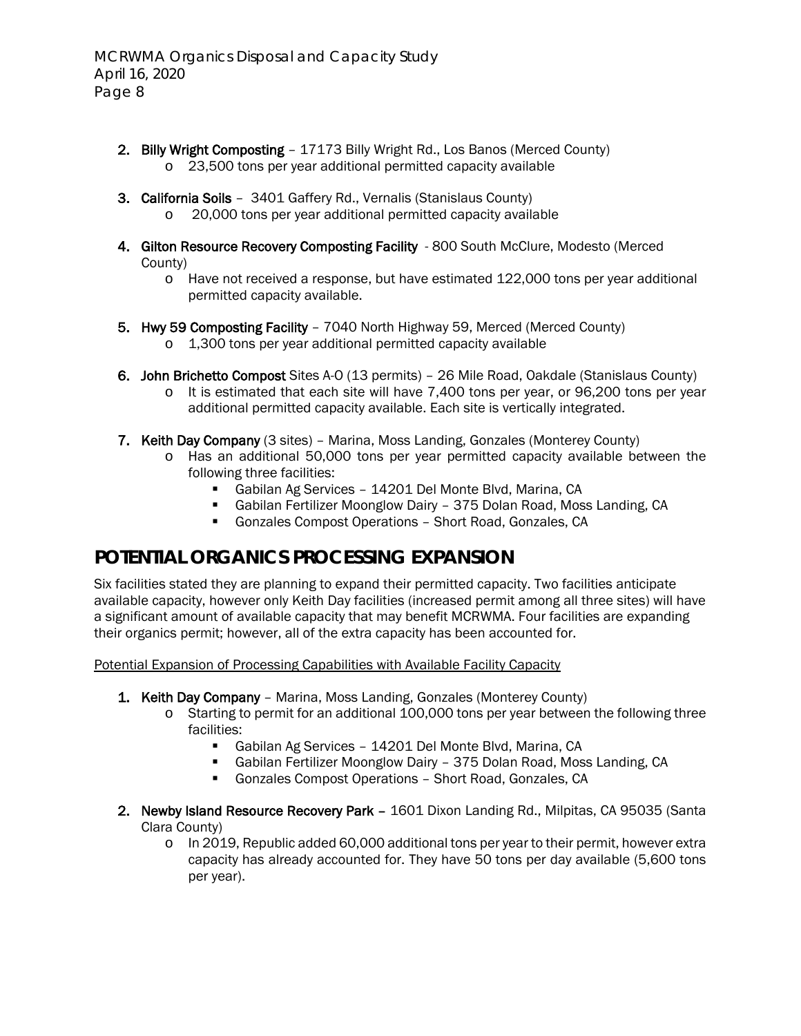- 2. Billy Wright Composting 17173 Billy Wright Rd., Los Banos (Merced County) o 23,500 tons per year additional permitted capacity available
- 3. California Soils 3401 Gaffery Rd., Vernalis (Stanislaus County) o 20,000 tons per year additional permitted capacity available
- 4. Gilton Resource Recovery Composting Facility 800 South McClure, Modesto (Merced County)
	- o Have not received a response, but have estimated 122,000 tons per year additional permitted capacity available.
- 5. Hwy 59 Composting Facility 7040 North Highway 59, Merced (Merced County)
	- o 1,300 tons per year additional permitted capacity available
- 6. John Brichetto Compost Sites A-O (13 permits) 26 Mile Road, Oakdale (Stanislaus County)
	- o It is estimated that each site will have 7,400 tons per year, or 96,200 tons per year additional permitted capacity available. Each site is vertically integrated.
- 7. Keith Day Company (3 sites) Marina, Moss Landing, Gonzales (Monterey County)
	- o Has an additional 50,000 tons per year permitted capacity available between the following three facilities:
		- Gabilan Ag Services 14201 Del Monte Blvd, Marina, CA
		- Gabilan Fertilizer Moonglow Dairy 375 Dolan Road, Moss Landing, CA
		- Gonzales Compost Operations Short Road, Gonzales, CA

# **POTENTIAL ORGANICS PROCESSING EXPANSION**

Six facilities stated they are planning to expand their permitted capacity. Two facilities anticipate available capacity, however only Keith Day facilities (increased permit among all three sites) will have a significant amount of available capacity that may benefit MCRWMA. Four facilities are expanding their organics permit; however, all of the extra capacity has been accounted for.

Potential Expansion of Processing Capabilities with Available Facility Capacity

- 1. Keith Day Company Marina, Moss Landing, Gonzales (Monterey County)
	- o Starting to permit for an additional 100,000 tons per year between the following three facilities:
		- Gabilan Ag Services 14201 Del Monte Blvd, Marina, CA
		- Gabilan Fertilizer Moonglow Dairy 375 Dolan Road, Moss Landing, CA
		- Gonzales Compost Operations Short Road, Gonzales, CA
- 2. Newby Island Resource Recovery Park 1601 Dixon Landing Rd., Milpitas, CA 95035 (Santa Clara County)
	- $\circ$  In 2019, Republic added 60,000 additional tons per year to their permit, however extra capacity has already accounted for. They have 50 tons per day available (5,600 tons per year).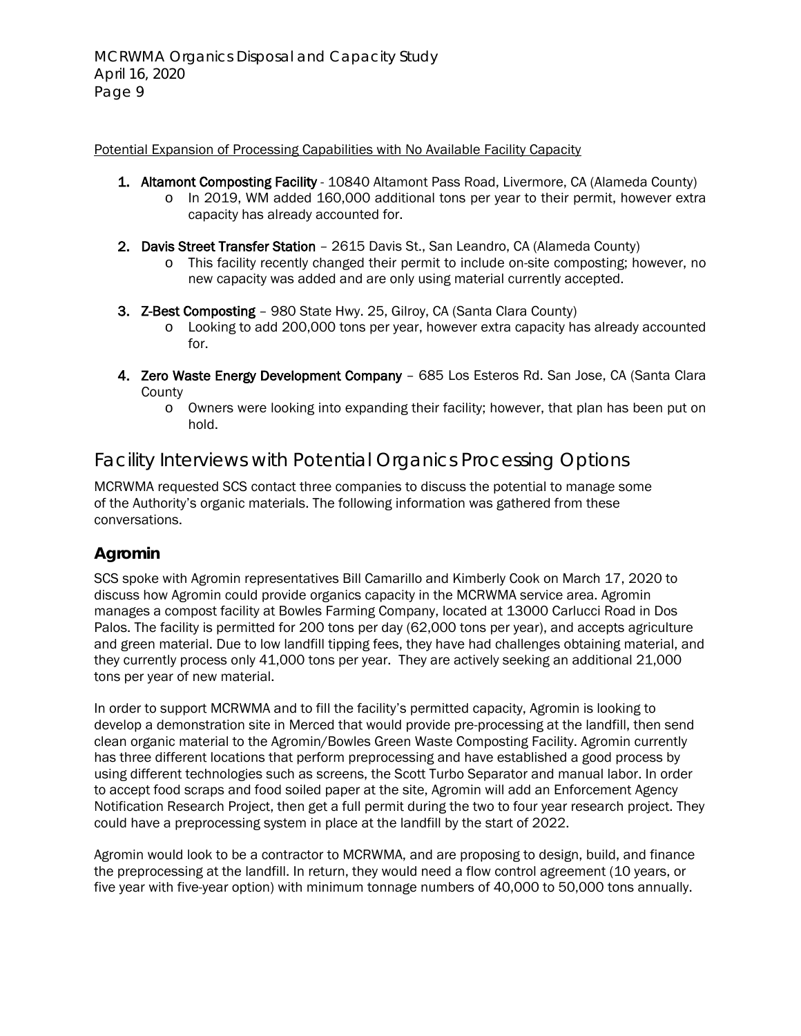#### Potential Expansion of Processing Capabilities with No Available Facility Capacity

- 1. Altamont Composting Facility 10840 Altamont Pass Road, Livermore, CA (Alameda County)
	- o In 2019, WM added 160,000 additional tons per year to their permit, however extra capacity has already accounted for.
- 2. Davis Street Transfer Station 2615 Davis St., San Leandro, CA (Alameda County)
	- o This facility recently changed their permit to include on-site composting; however, no new capacity was added and are only using material currently accepted.
- 3. Z-Best Composting 980 State Hwy. 25, Gilroy, CA (Santa Clara County)
	- o Looking to add 200,000 tons per year, however extra capacity has already accounted for.
- 4. Zero Waste Energy Development Company 685 Los Esteros Rd. San Jose, CA (Santa Clara **County** 
	- o Owners were looking into expanding their facility; however, that plan has been put on hold.

## Facility Interviews with Potential Organics Processing Options

MCRWMA requested SCS contact three companies to discuss the potential to manage some of the Authority's organic materials. The following information was gathered from these conversations.

## **Agromin**

SCS spoke with Agromin representatives Bill Camarillo and Kimberly Cook on March 17, 2020 to discuss how Agromin could provide organics capacity in the MCRWMA service area. Agromin manages a compost facility at Bowles Farming Company, located at 13000 Carlucci Road in Dos Palos. The facility is permitted for 200 tons per day (62,000 tons per year), and accepts agriculture and green material. Due to low landfill tipping fees, they have had challenges obtaining material, and they currently process only 41,000 tons per year. They are actively seeking an additional 21,000 tons per year of new material.

In order to support MCRWMA and to fill the facility's permitted capacity, Agromin is looking to develop a demonstration site in Merced that would provide pre-processing at the landfill, then send clean organic material to the Agromin/Bowles Green Waste Composting Facility. Agromin currently has three different locations that perform preprocessing and have established a good process by using different technologies such as screens, the Scott Turbo Separator and manual labor. In order to accept food scraps and food soiled paper at the site, Agromin will add an Enforcement Agency Notification Research Project, then get a full permit during the two to four year research project. They could have a preprocessing system in place at the landfill by the start of 2022.

Agromin would look to be a contractor to MCRWMA, and are proposing to design, build, and finance the preprocessing at the landfill. In return, they would need a flow control agreement (10 years, or five year with five-year option) with minimum tonnage numbers of 40,000 to 50,000 tons annually.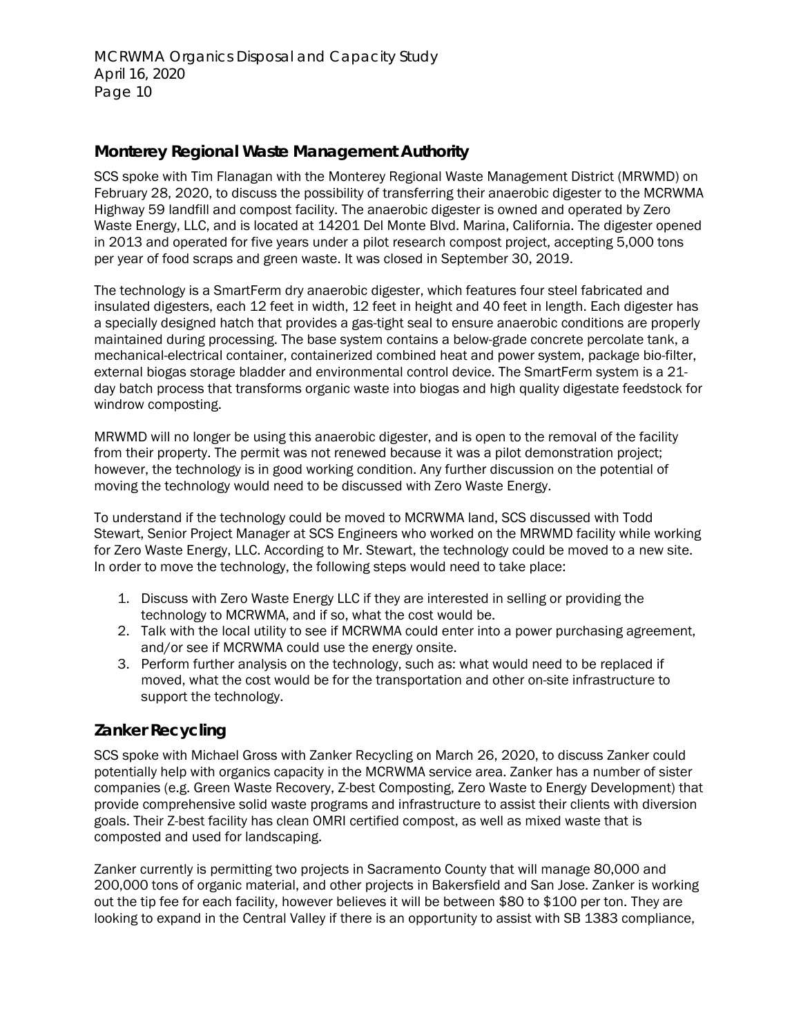#### **Monterey Regional Waste Management Authority**

SCS spoke with Tim Flanagan with the Monterey Regional Waste Management District (MRWMD) on February 28, 2020, to discuss the possibility of transferring their anaerobic digester to the MCRWMA Highway 59 landfill and compost facility. The anaerobic digester is owned and operated by Zero Waste Energy, LLC, and is located at 14201 Del Monte Blvd. Marina, California. The digester opened in 2013 and operated for five years under a pilot research compost project, accepting 5,000 tons per year of food scraps and green waste. It was closed in September 30, 2019.

The technology is a SmartFerm dry anaerobic digester, which features four steel fabricated and insulated digesters, each 12 feet in width, 12 feet in height and 40 feet in length. Each digester has a specially designed hatch that provides a gas-tight seal to ensure anaerobic conditions are properly maintained during processing. The base system contains a below-grade concrete percolate tank, a mechanical-electrical container, containerized combined heat and power system, package bio-filter, external biogas storage bladder and environmental control device. The SmartFerm system is a 21 day batch process that transforms organic waste into biogas and high quality digestate feedstock for windrow composting.

MRWMD will no longer be using this anaerobic digester, and is open to the removal of the facility from their property. The permit was not renewed because it was a pilot demonstration project; however, the technology is in good working condition. Any further discussion on the potential of moving the technology would need to be discussed with Zero Waste Energy.

To understand if the technology could be moved to MCRWMA land, SCS discussed with Todd Stewart, Senior Project Manager at SCS Engineers who worked on the MRWMD facility while working for Zero Waste Energy, LLC. According to Mr. Stewart, the technology could be moved to a new site. In order to move the technology, the following steps would need to take place:

- 1. Discuss with Zero Waste Energy LLC if they are interested in selling or providing the technology to MCRWMA, and if so, what the cost would be.
- 2. Talk with the local utility to see if MCRWMA could enter into a power purchasing agreement, and/or see if MCRWMA could use the energy onsite.
- 3. Perform further analysis on the technology, such as: what would need to be replaced if moved, what the cost would be for the transportation and other on-site infrastructure to support the technology.

#### **Zanker Recycling**

SCS spoke with Michael Gross with Zanker Recycling on March 26, 2020, to discuss Zanker could potentially help with organics capacity in the MCRWMA service area. Zanker has a number of sister companies (e.g. Green Waste Recovery, Z-best Composting, Zero Waste to Energy Development) that provide comprehensive solid waste programs and infrastructure to assist their clients with diversion goals. Their Z-best facility has clean OMRI certified compost, as well as mixed waste that is composted and used for landscaping.

Zanker currently is permitting two projects in Sacramento County that will manage 80,000 and 200,000 tons of organic material, and other projects in Bakersfield and San Jose. Zanker is working out the tip fee for each facility, however believes it will be between \$80 to \$100 per ton. They are looking to expand in the Central Valley if there is an opportunity to assist with SB 1383 compliance,